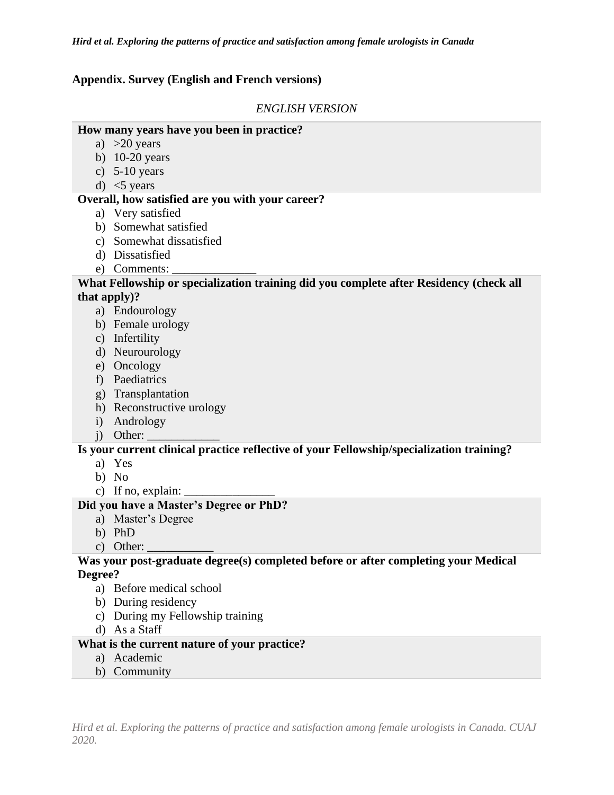*Hird et al. Exploring the patterns of practice and satisfaction among female urologists in Canada*

#### **Appendix. Survey (English and French versions)**

### *ENGLISH VERSION*

#### **How many years have you been in practice?**

- a)  $>20$  years
- b) 10-20 years
- c) 5-10 years
- d)  $<$ 5 years

#### **Overall, how satisfied are you with your career?**

- a) Very satisfied
- b) Somewhat satisfied
- c) Somewhat dissatisfied
- d) Dissatisfied
- e) Comments:

#### **What Fellowship or specialization training did you complete after Residency (check all that apply)?**

- a) Endourology
- b) Female urology
- c) Infertility
- d) Neurourology
- e) Oncology
- f) Paediatrics
- g) Transplantation
- h) Reconstructive urology
- i) Andrology
- $i)$  Other:  $\Box$

# **Is your current clinical practice reflective of your Fellowship/specialization training?**

- a) Yes
- b) No
- c) If no, explain:

#### **Did you have a Master's Degree or PhD?**

- a) Master's Degree
- b) PhD
- c) Other:

#### **Was your post-graduate degree(s) completed before or after completing your Medical Degree?**

- a) Before medical school
- b) During residency
- c) During my Fellowship training
- d) As a Staff

# **What is the current nature of your practice?**

- a) Academic
- b) Community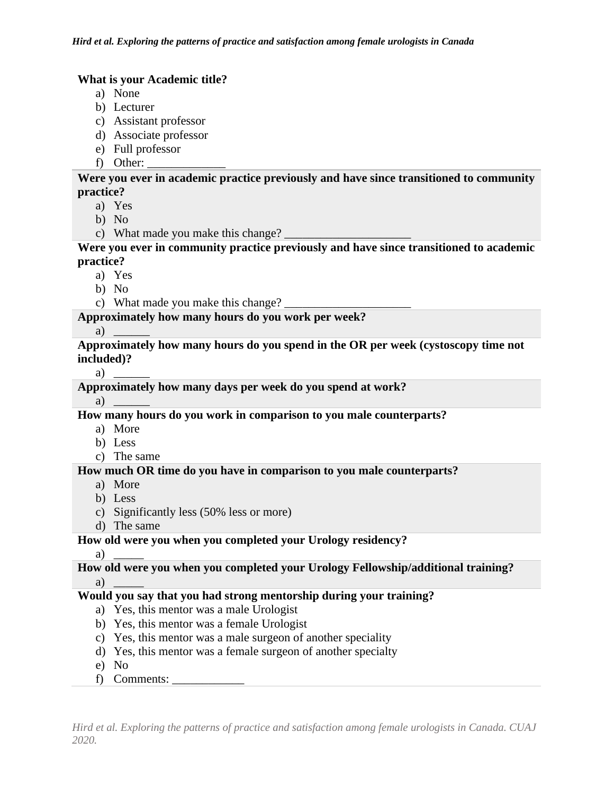# **What is your Academic title?**

- a) None
- b) Lecturer
- c) Assistant professor
- d) Associate professor
- e) Full professor
- f) Other:

**Were you ever in academic practice previously and have since transitioned to community practice?**

- a) Yes
- b) No
- c) What made you make this change?

**Were you ever in community practice previously and have since transitioned to academic practice?**

- a) Yes
- b) No
- c) What made you make this change?

# **Approximately how many hours do you work per week?**

#### a)

**Approximately how many hours do you spend in the OR per week (cystoscopy time not included)?**

 $a)$ 

**Approximately how many days per week do you spend at work?**

a)

**How many hours do you work in comparison to you male counterparts?**

- a) More
- b) Less
- c) The same

### **How much OR time do you have in comparison to you male counterparts?**

- a) More
- b) Less
- c) Significantly less (50% less or more)
- d) The same

### **How old were you when you completed your Urology residency?**

a) \_\_\_\_\_

# **How old were you when you completed your Urology Fellowship/additional training?**  $a)$

# **Would you say that you had strong mentorship during your training?**

- a) Yes, this mentor was a male Urologist
- b) Yes, this mentor was a female Urologist
- c) Yes, this mentor was a male surgeon of another speciality
- d) Yes, this mentor was a female surgeon of another specialty
- e) No
- f) Comments: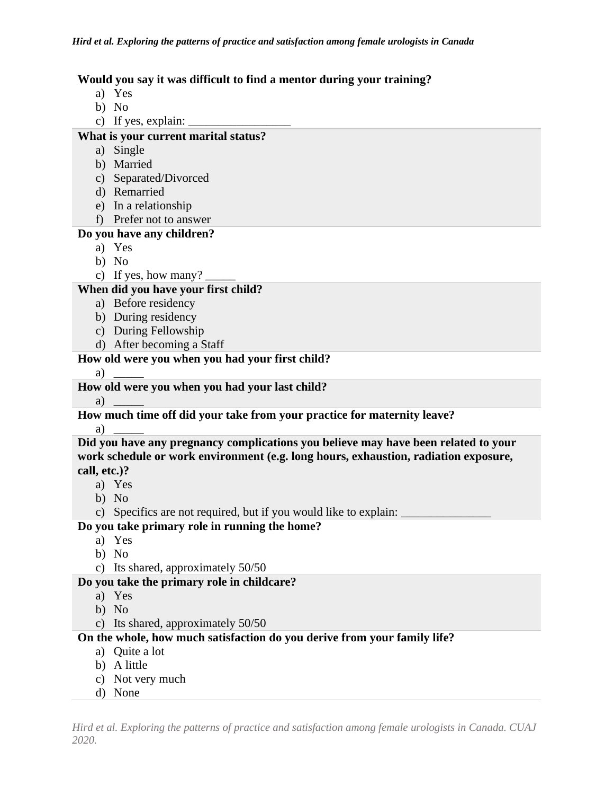# **Would you say it was difficult to find a mentor during your training?**

- a) Yes
- b) No
- c) If yes, explain:

# **What is your current marital status?**

- a) Single
- b) Married
- c) Separated/Divorced
- d) Remarried
- e) In a relationship
- f) Prefer not to answer

# **Do you have any children?**

- a) Yes
- b) No
- c) If yes, how many?

# **When did you have your first child?**

- a) Before residency
- b) During residency
- c) During Fellowship
- d) After becoming a Staff

# **How old were you when you had your first child?**

a) \_\_\_\_\_

### **How old were you when you had your last child?**

a)

# **How much time off did your take from your practice for maternity leave?**

#### a) \_\_\_\_\_

**Did you have any pregnancy complications you believe may have been related to your work schedule or work environment (e.g. long hours, exhaustion, radiation exposure, call, etc.)?**

- a) Yes
- b) No
- c) Specifics are not required, but if you would like to explain:

# **Do you take primary role in running the home?**

- a) Yes
- b) No
- c) Its shared, approximately 50/50

### **Do you take the primary role in childcare?**

- a) Yes
- b) No
- c) Its shared, approximately 50/50

# **On the whole, how much satisfaction do you derive from your family life?**

- a) Quite a lot
- b) A little
- c) Not very much
- d) None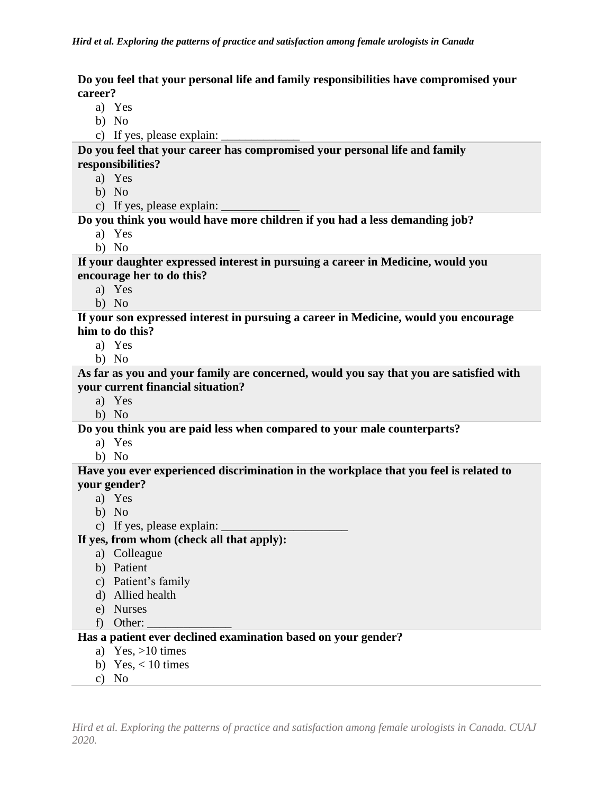**Do you feel that your personal life and family responsibilities have compromised your career?**

- a) Yes
- b) No
- c) If yes, please explain:

**Do you feel that your career has compromised your personal life and family responsibilities?**

- a) Yes
- b) No
- c) If yes, please explain:

# **Do you think you would have more children if you had a less demanding job?**

- a) Yes
- b) No

**If your daughter expressed interest in pursuing a career in Medicine, would you encourage her to do this?**

- a) Yes
- b) No

**If your son expressed interest in pursuing a career in Medicine, would you encourage him to do this?**

- a) Yes
- b) No

**As far as you and your family are concerned, would you say that you are satisfied with your current financial situation?**

- a) Yes
- b) No

**Do you think you are paid less when compared to your male counterparts?**

- a) Yes
- b) No

**Have you ever experienced discrimination in the workplace that you feel is related to your gender?**

- a) Yes
- b) No
- c) If yes, please explain:

**If yes, from whom (check all that apply):**

- a) Colleague
- b) Patient
- c) Patient's family
- d) Allied health
- e) Nurses
- f) Other:

### **Has a patient ever declined examination based on your gender?**

- a) Yes,  $>10$  times
- b) Yes,  $< 10$  times
- c) No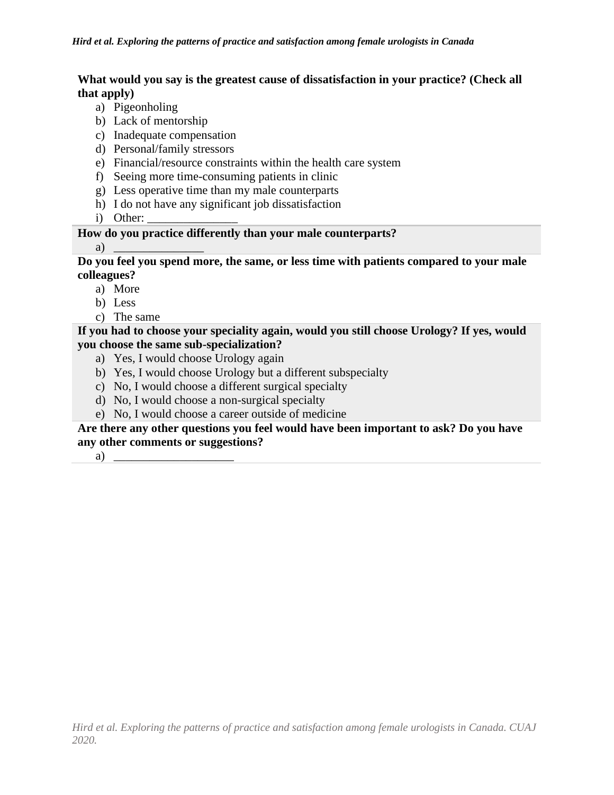# **What would you say is the greatest cause of dissatisfaction in your practice? (Check all that apply)**

- a) Pigeonholing
- b) Lack of mentorship
- c) Inadequate compensation
- d) Personal/family stressors
- e) Financial/resource constraints within the health care system
- f) Seeing more time-consuming patients in clinic
- g) Less operative time than my male counterparts
- h) I do not have any significant job dissatisfaction
- i) Other:

# **How do you practice differently than your male counterparts?**

a)  $\overline{\phantom{a}}$ 

# **Do you feel you spend more, the same, or less time with patients compared to your male colleagues?**

- a) More
- b) Less
- c) The same

# **If you had to choose your speciality again, would you still choose Urology? If yes, would you choose the same sub-specialization?**

- a) Yes, I would choose Urology again
- b) Yes, I would choose Urology but a different subspecialty
- c) No, I would choose a different surgical specialty
- d) No, I would choose a non-surgical specialty
- e) No, I would choose a career outside of medicine

# **Are there any other questions you feel would have been important to ask? Do you have any other comments or suggestions?**

a)  $\overline{\phantom{a}}$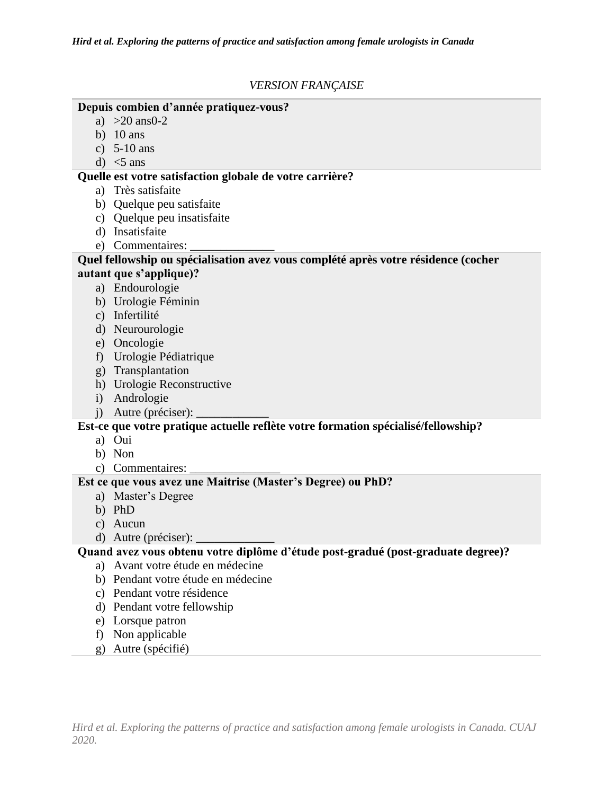# *VERSION FRANÇAISE*

### **Depuis combien d'année pratiquez-vous?**

- a) >20 ans0-2
- b)  $10 \text{ ans}$
- c) 5-10 ans
- d)  $<$ 5 ans

# **Quelle est votre satisfaction globale de votre carrière?**

- a) Très satisfaite
- b) Quelque peu satisfaite
- c) Quelque peu insatisfaite
- d) Insatisfaite
- e) Commentaires:

#### **Quel fellowship ou spécialisation avez vous complété après votre résidence (cocher autant que s'applique)?**

- a) Endourologie
- b) Urologie Féminin
- c) Infertilité
- d) Neurourologie
- e) Oncologie
- f) Urologie Pédiatrique
- g) Transplantation
- h) Urologie Reconstructive
- i) Andrologie
- j) Autre (préciser): \_\_\_\_\_\_\_\_\_\_\_\_

# **Est-ce que votre pratique actuelle reflète votre formation spécialisé/fellowship?**

- a) Oui
- b) Non
- c) Commentaires:

# **Est ce que vous avez une Maitrise (Master's Degree) ou PhD?**

- a) Master's Degree
- b) PhD
- c) Aucun
- d) Autre (préciser):

# **Quand avez vous obtenu votre diplôme d'étude post-gradué (post-graduate degree)?**

- a) Avant votre étude en médecine
- b) Pendant votre étude en médecine
- c) Pendant votre résidence
- d) Pendant votre fellowship
- e) Lorsque patron
- f) Non applicable
- g) Autre (spécifié)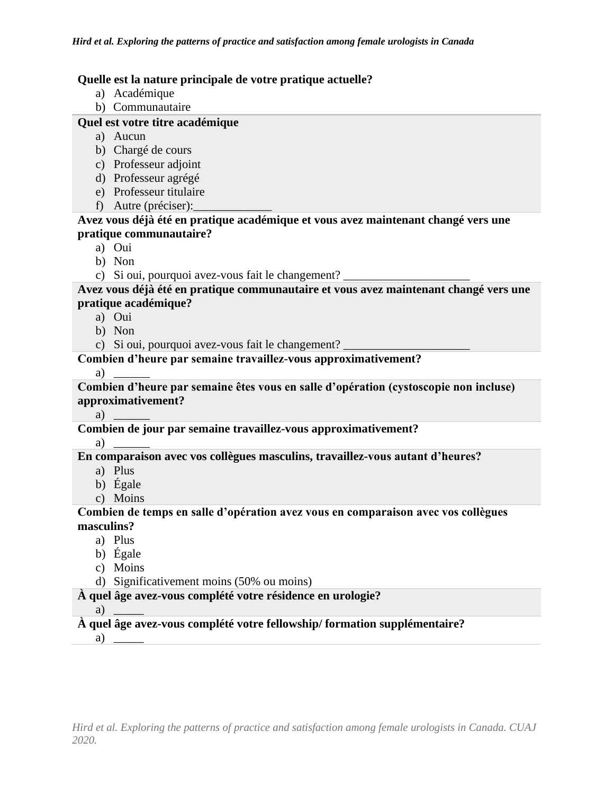# **Quelle est la nature principale de votre pratique actuelle?**

- a) Académique
- b) Communautaire

# **Quel est votre titre académique**

- a) Aucun
- b) Chargé de cours
- c) Professeur adjoint
- d) Professeur agrégé
- e) Professeur titulaire
- f) Autre (préciser):

# **Avez vous déjà été en pratique académique et vous avez maintenant changé vers une pratique communautaire?**

- a) Oui
- b) Non
- c) Si oui, pourquoi avez-vous fait le changement?

### **Avez vous déjà été en pratique communautaire et vous avez maintenant changé vers une pratique académique?**

- a) Oui
- b) Non
- c) Si oui, pourquoi avez-vous fait le changement?

# **Combien d'heure par semaine travaillez-vous approximativement?**

 $a)$ 

**Combien d'heure par semaine êtes vous en salle d'opération (cystoscopie non incluse) approximativement?**

 $a)$ 

# **Combien de jour par semaine travaillez-vous approximativement?**

a)

### **En comparaison avec vos collègues masculins, travaillez-vous autant d'heures?**

- a) Plus
- b) Égale
- c) Moins

### **Combien de temps en salle d'opération avez vous en comparaison avec vos collègues masculins?**

- a) Plus
- b) Égale
- c) Moins
- d) Significativement moins (50% ou moins)

### **À quel âge avez-vous complété votre résidence en urologie?**

a) \_\_\_\_\_

# **À quel âge avez-vous complété votre fellowship/ formation supplémentaire?**

a)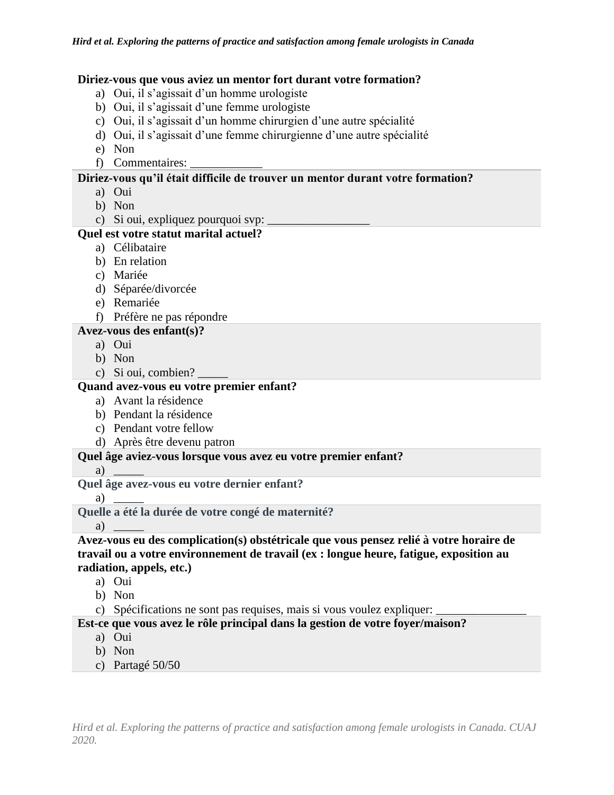#### **Diriez-vous que vous aviez un mentor fort durant votre formation?**

- a) Oui, il s'agissait d'un homme urologiste
- b) Oui, il s'agissait d'une femme urologiste
- c) Oui, il s'agissait d'un homme chirurgien d'une autre spécialité
- d) Oui, il s'agissait d'une femme chirurgienne d'une autre spécialité
- e) Non
- f) Commentaires:

### **Diriez-vous qu'il était difficile de trouver un mentor durant votre formation?**

- a) Oui
- b) Non
- c) Si oui, expliquez pourquoi svp:

# **Quel est votre statut marital actuel?**

- a) Célibataire
- b) En relation
- c) Mariée
- d) Séparée/divorcée
- e) Remariée
- f) Préfère ne pas répondre

### **Avez-vous des enfant(s)?**

- a) Oui
- b) Non
- c) Si oui, combien? \_\_\_\_\_

# **Quand avez-vous eu votre premier enfant?**

- a) Avant la résidence
- b) Pendant la résidence
- c) Pendant votre fellow
- d) Après être devenu patron

### **Quel âge aviez-vous lorsque vous avez eu votre premier enfant?**

a)

**Quel âge avez-vous eu votre dernier enfant?**

a) \_\_\_\_\_

**Quelle a été la durée de votre congé de maternité?**

a) \_\_\_\_\_

**Avez-vous eu des complication(s) obstétricale que vous pensez relié à votre horaire de travail ou a votre environnement de travail (ex : longue heure, fatigue, exposition au radiation, appels, etc.)**

- a) Oui
- b) Non
- c) Spécifications ne sont pas requises, mais si vous voulez expliquer:

### **Est-ce que vous avez le rôle principal dans la gestion de votre foyer/maison?**

- a) Oui
- b) Non
- c) Partagé 50/50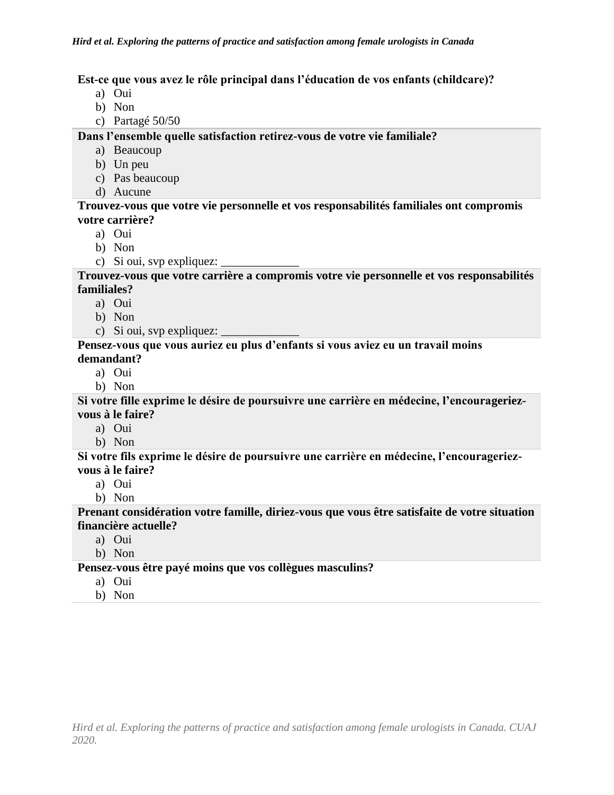### **Est-ce que vous avez le rôle principal dans l'éducation de vos enfants (childcare)?**

- a) Oui
- b) Non
- c) Partagé 50/50

**Dans l'ensemble quelle satisfaction retirez-vous de votre vie familiale?**

- a) Beaucoup
- b) Un peu
- c) Pas beaucoup
- d) Aucune

**Trouvez-vous que votre vie personnelle et vos responsabilités familiales ont compromis votre carrière?**

- a) Oui
- b) Non
- c) Si oui, svp expliquez:

**Trouvez-vous que votre carrière a compromis votre vie personnelle et vos responsabilités familiales?**

- a) Oui
- b) Non
- c) Si oui, svp expliquez:  $\overline{\phantom{a}}$

#### **Pensez-vous que vous auriez eu plus d'enfants si vous aviez eu un travail moins demandant?**

- a) Oui
- b) Non

**Si votre fille exprime le désire de poursuivre une carrière en médecine, l'encourageriezvous à le faire?**

a) Oui

b) Non

**Si votre fils exprime le désire de poursuivre une carrière en médecine, l'encourageriezvous à le faire?**

- a) Oui
- b) Non

**Prenant considération votre famille, diriez-vous que vous être satisfaite de votre situation financière actuelle?**

- a) Oui
- b) Non

**Pensez-vous être payé moins que vos collègues masculins?**

- a) Oui
- b) Non